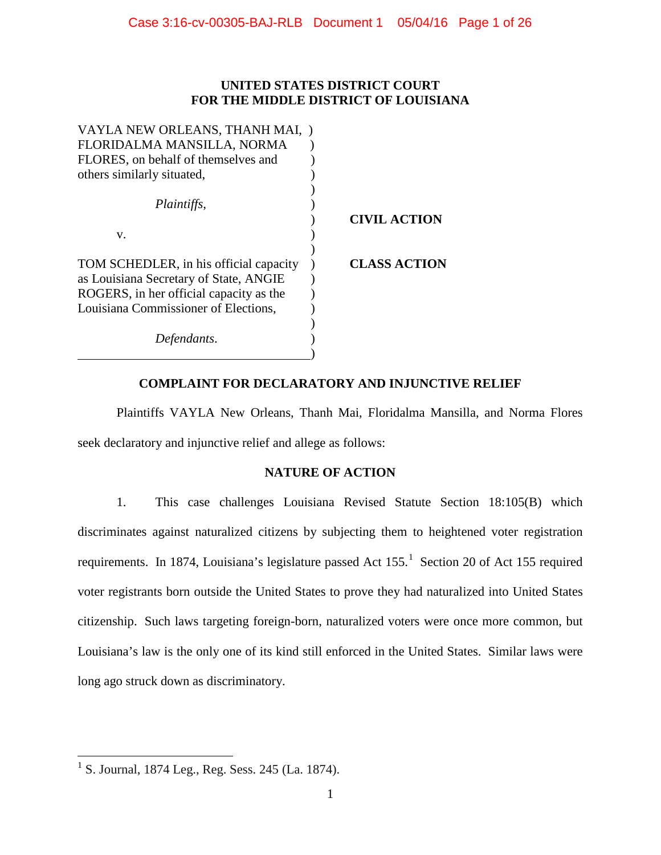# **UNITED STATES DISTRICT COURT FOR THE MIDDLE DISTRICT OF LOUISIANA**

| VAYLA NEW ORLEANS, THANH MAI, )         |                     |
|-----------------------------------------|---------------------|
| FLORIDALMA MANSILLA, NORMA              |                     |
| FLORES, on behalf of themselves and     |                     |
| others similarly situated,              |                     |
|                                         |                     |
| Plaintiffs,                             |                     |
|                                         | <b>CIVIL ACTION</b> |
| V.                                      |                     |
|                                         |                     |
| TOM SCHEDLER, in his official capacity  | <b>CLASS ACTION</b> |
| as Louisiana Secretary of State, ANGIE  |                     |
| ROGERS, in her official capacity as the |                     |
| Louisiana Commissioner of Elections,    |                     |
|                                         |                     |
| Defendants.                             |                     |
|                                         |                     |

# **COMPLAINT FOR DECLARATORY AND INJUNCTIVE RELIEF**

Plaintiffs VAYLA New Orleans, Thanh Mai, Floridalma Mansilla, and Norma Flores seek declaratory and injunctive relief and allege as follows:

# **NATURE OF ACTION**

1. This case challenges Louisiana Revised Statute Section 18:105(B) which discriminates against naturalized citizens by subjecting them to heightened voter registration requirements. In [1](#page-0-0)874, Louisiana's legislature passed Act 155.<sup>1</sup> Section 20 of Act 155 required voter registrants born outside the United States to prove they had naturalized into United States citizenship. Such laws targeting foreign-born, naturalized voters were once more common, but Louisiana's law is the only one of its kind still enforced in the United States. Similar laws were long ago struck down as discriminatory.

<span id="page-0-0"></span><sup>&</sup>lt;sup>1</sup> S. Journal, 1874 Leg., Reg. Sess. 245 (La. 1874).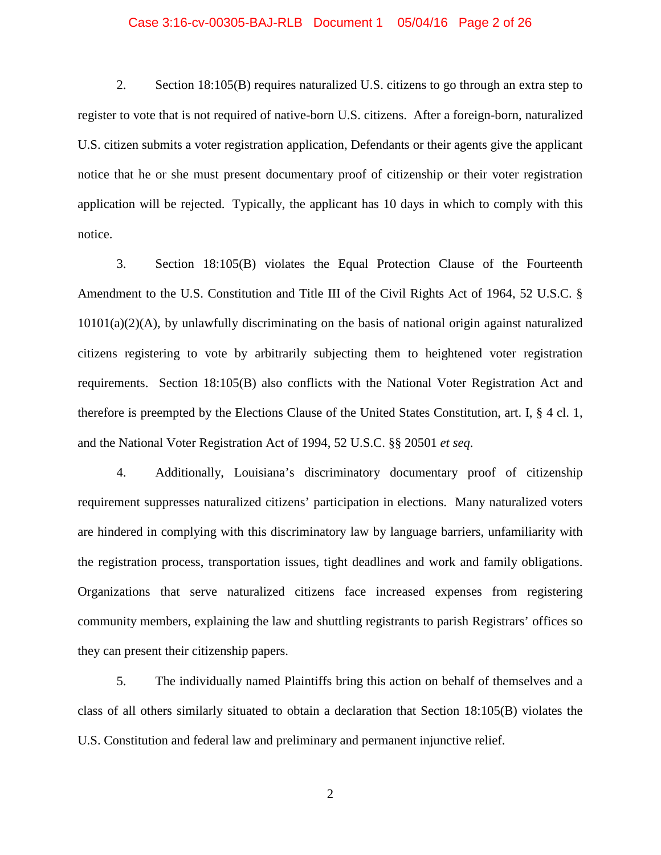## Case 3:16-cv-00305-BAJ-RLB Document 1 05/04/16 Page 2 of 26

2. Section 18:105(B) requires naturalized U.S. citizens to go through an extra step to register to vote that is not required of native-born U.S. citizens. After a foreign-born, naturalized U.S. citizen submits a voter registration application, Defendants or their agents give the applicant notice that he or she must present documentary proof of citizenship or their voter registration application will be rejected. Typically, the applicant has 10 days in which to comply with this notice.

3. Section 18:105(B) violates the Equal Protection Clause of the Fourteenth Amendment to the U.S. Constitution and Title III of the Civil Rights Act of 1964, 52 U.S.C. § 10101(a)(2)(A), by unlawfully discriminating on the basis of national origin against naturalized citizens registering to vote by arbitrarily subjecting them to heightened voter registration requirements. Section 18:105(B) also conflicts with the National Voter Registration Act and therefore is preempted by the Elections Clause of the United States Constitution, art. I, § 4 cl. 1, and the National Voter Registration Act of 1994, 52 U.S.C. §§ 20501 *et seq*.

4. Additionally, Louisiana's discriminatory documentary proof of citizenship requirement suppresses naturalized citizens' participation in elections. Many naturalized voters are hindered in complying with this discriminatory law by language barriers, unfamiliarity with the registration process, transportation issues, tight deadlines and work and family obligations. Organizations that serve naturalized citizens face increased expenses from registering community members, explaining the law and shuttling registrants to parish Registrars' offices so they can present their citizenship papers.

5. The individually named Plaintiffs bring this action on behalf of themselves and a class of all others similarly situated to obtain a declaration that Section 18:105(B) violates the U.S. Constitution and federal law and preliminary and permanent injunctive relief.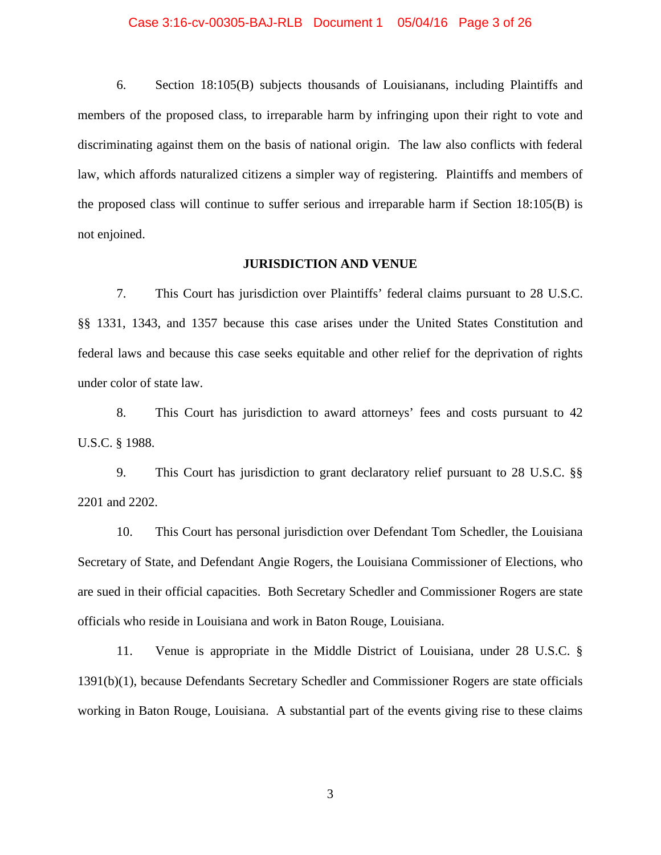#### Case 3:16-cv-00305-BAJ-RLB Document 1 05/04/16 Page 3 of 26

6. Section 18:105(B) subjects thousands of Louisianans, including Plaintiffs and members of the proposed class, to irreparable harm by infringing upon their right to vote and discriminating against them on the basis of national origin. The law also conflicts with federal law, which affords naturalized citizens a simpler way of registering. Plaintiffs and members of the proposed class will continue to suffer serious and irreparable harm if Section 18:105(B) is not enjoined.

### **JURISDICTION AND VENUE**

7. This Court has jurisdiction over Plaintiffs' federal claims pursuant to 28 U.S.C. §§ 1331, 1343, and 1357 because this case arises under the United States Constitution and federal laws and because this case seeks equitable and other relief for the deprivation of rights under color of state law.

8. This Court has jurisdiction to award attorneys' fees and costs pursuant to 42 U.S.C. § 1988.

9. This Court has jurisdiction to grant declaratory relief pursuant to 28 U.S.C. §§ 2201 and 2202.

10. This Court has personal jurisdiction over Defendant Tom Schedler, the Louisiana Secretary of State, and Defendant Angie Rogers, the Louisiana Commissioner of Elections, who are sued in their official capacities. Both Secretary Schedler and Commissioner Rogers are state officials who reside in Louisiana and work in Baton Rouge, Louisiana.

11. Venue is appropriate in the Middle District of Louisiana, under 28 U.S.C. § 1391(b)(1), because Defendants Secretary Schedler and Commissioner Rogers are state officials working in Baton Rouge, Louisiana. A substantial part of the events giving rise to these claims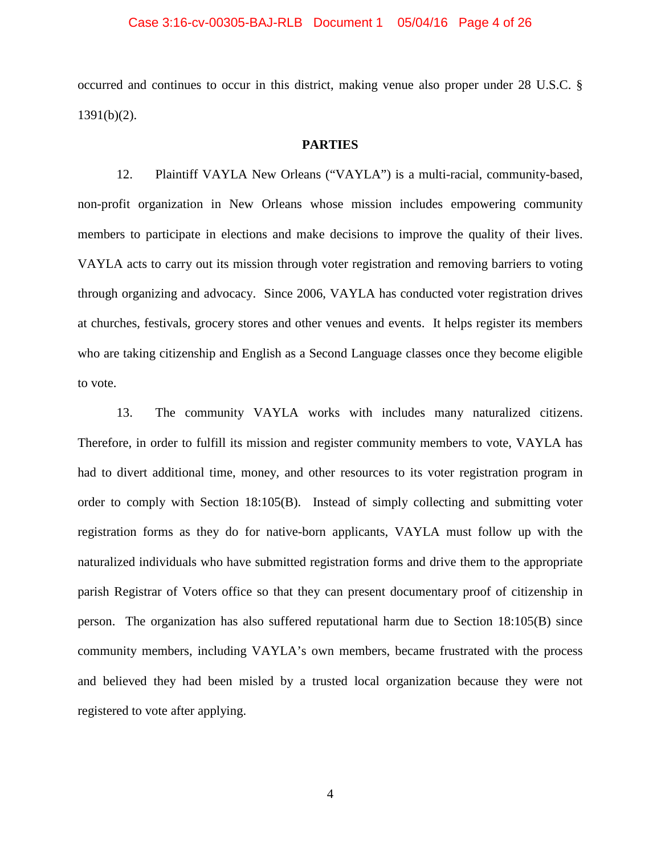## Case 3:16-cv-00305-BAJ-RLB Document 1 05/04/16 Page 4 of 26

occurred and continues to occur in this district, making venue also proper under 28 U.S.C. § 1391(b)(2).

## **PARTIES**

12. Plaintiff VAYLA New Orleans ("VAYLA") is a multi-racial, community-based, non-profit organization in New Orleans whose mission includes empowering community members to participate in elections and make decisions to improve the quality of their lives. VAYLA acts to carry out its mission through voter registration and removing barriers to voting through organizing and advocacy. Since 2006, VAYLA has conducted voter registration drives at churches, festivals, grocery stores and other venues and events. It helps register its members who are taking citizenship and English as a Second Language classes once they become eligible to vote.

13. The community VAYLA works with includes many naturalized citizens. Therefore, in order to fulfill its mission and register community members to vote, VAYLA has had to divert additional time, money, and other resources to its voter registration program in order to comply with Section 18:105(B). Instead of simply collecting and submitting voter registration forms as they do for native-born applicants, VAYLA must follow up with the naturalized individuals who have submitted registration forms and drive them to the appropriate parish Registrar of Voters office so that they can present documentary proof of citizenship in person. The organization has also suffered reputational harm due to Section 18:105(B) since community members, including VAYLA's own members, became frustrated with the process and believed they had been misled by a trusted local organization because they were not registered to vote after applying.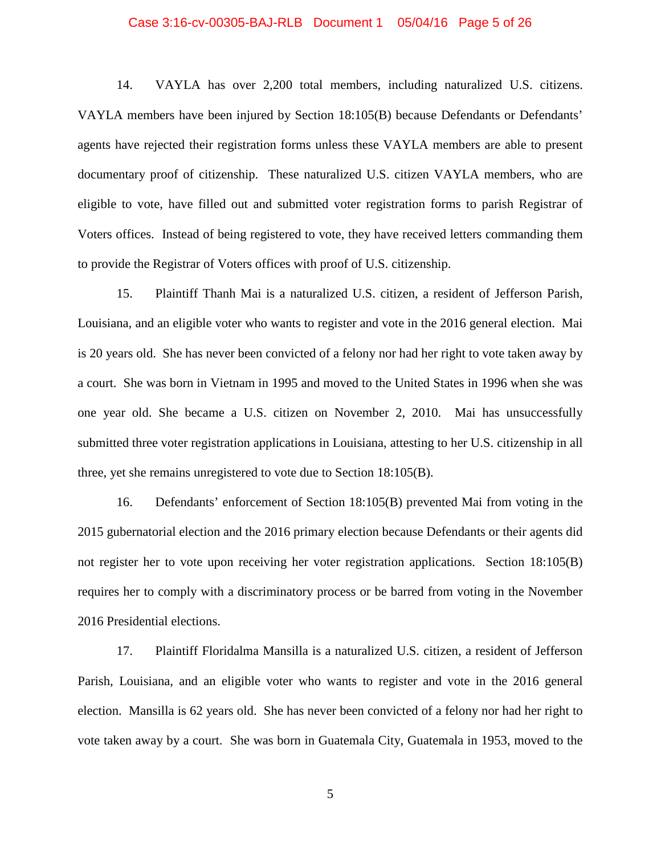## Case 3:16-cv-00305-BAJ-RLB Document 1 05/04/16 Page 5 of 26

14. VAYLA has over 2,200 total members, including naturalized U.S. citizens. VAYLA members have been injured by Section 18:105(B) because Defendants or Defendants' agents have rejected their registration forms unless these VAYLA members are able to present documentary proof of citizenship. These naturalized U.S. citizen VAYLA members, who are eligible to vote, have filled out and submitted voter registration forms to parish Registrar of Voters offices. Instead of being registered to vote, they have received letters commanding them to provide the Registrar of Voters offices with proof of U.S. citizenship.

15. Plaintiff Thanh Mai is a naturalized U.S. citizen, a resident of Jefferson Parish, Louisiana, and an eligible voter who wants to register and vote in the 2016 general election. Mai is 20 years old. She has never been convicted of a felony nor had her right to vote taken away by a court. She was born in Vietnam in 1995 and moved to the United States in 1996 when she was one year old. She became a U.S. citizen on November 2, 2010. Mai has unsuccessfully submitted three voter registration applications in Louisiana, attesting to her U.S. citizenship in all three, yet she remains unregistered to vote due to Section 18:105(B).

16. Defendants' enforcement of Section 18:105(B) prevented Mai from voting in the 2015 gubernatorial election and the 2016 primary election because Defendants or their agents did not register her to vote upon receiving her voter registration applications. Section 18:105(B) requires her to comply with a discriminatory process or be barred from voting in the November 2016 Presidential elections.

17. Plaintiff Floridalma Mansilla is a naturalized U.S. citizen, a resident of Jefferson Parish, Louisiana, and an eligible voter who wants to register and vote in the 2016 general election. Mansilla is 62 years old. She has never been convicted of a felony nor had her right to vote taken away by a court. She was born in Guatemala City, Guatemala in 1953, moved to the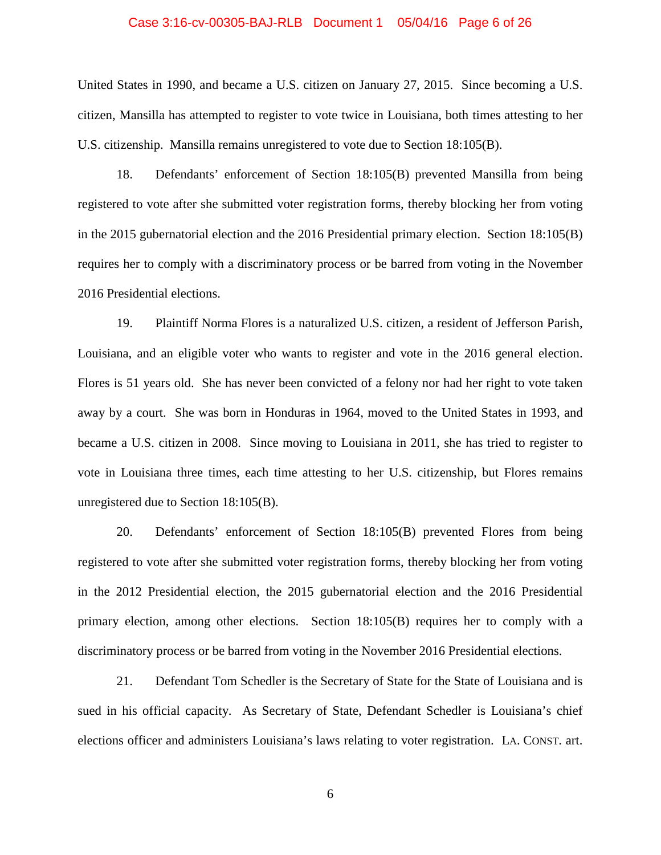## Case 3:16-cv-00305-BAJ-RLB Document 1 05/04/16 Page 6 of 26

United States in 1990, and became a U.S. citizen on January 27, 2015. Since becoming a U.S. citizen, Mansilla has attempted to register to vote twice in Louisiana, both times attesting to her U.S. citizenship. Mansilla remains unregistered to vote due to Section 18:105(B).

18. Defendants' enforcement of Section 18:105(B) prevented Mansilla from being registered to vote after she submitted voter registration forms, thereby blocking her from voting in the 2015 gubernatorial election and the 2016 Presidential primary election. Section 18:105(B) requires her to comply with a discriminatory process or be barred from voting in the November 2016 Presidential elections.

19. Plaintiff Norma Flores is a naturalized U.S. citizen, a resident of Jefferson Parish, Louisiana, and an eligible voter who wants to register and vote in the 2016 general election. Flores is 51 years old. She has never been convicted of a felony nor had her right to vote taken away by a court. She was born in Honduras in 1964, moved to the United States in 1993, and became a U.S. citizen in 2008. Since moving to Louisiana in 2011, she has tried to register to vote in Louisiana three times, each time attesting to her U.S. citizenship, but Flores remains unregistered due to Section 18:105(B).

20. Defendants' enforcement of Section 18:105(B) prevented Flores from being registered to vote after she submitted voter registration forms, thereby blocking her from voting in the 2012 Presidential election, the 2015 gubernatorial election and the 2016 Presidential primary election, among other elections. Section 18:105(B) requires her to comply with a discriminatory process or be barred from voting in the November 2016 Presidential elections.

21. Defendant Tom Schedler is the Secretary of State for the State of Louisiana and is sued in his official capacity. As Secretary of State, Defendant Schedler is Louisiana's chief elections officer and administers Louisiana's laws relating to voter registration. LA. CONST. art.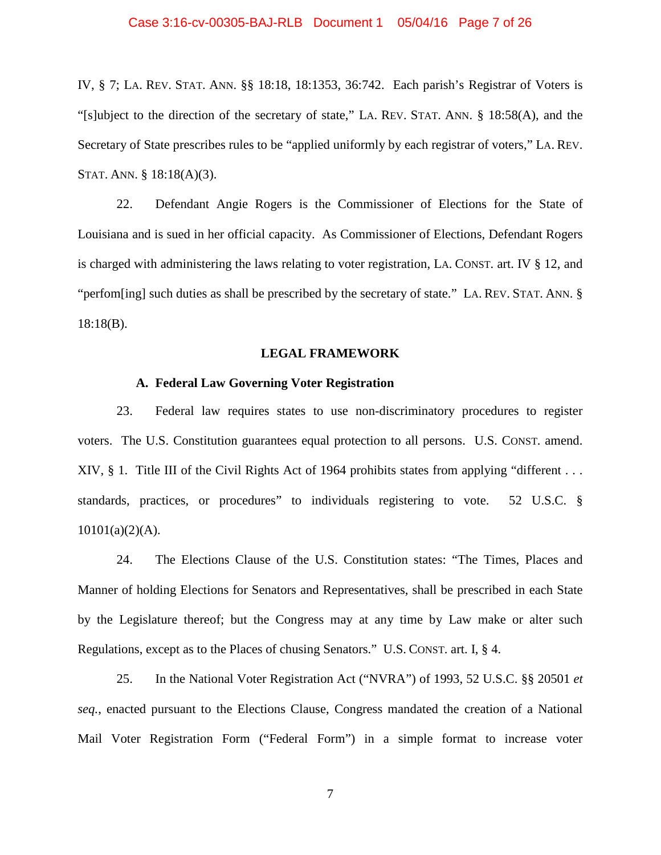## Case 3:16-cv-00305-BAJ-RLB Document 1 05/04/16 Page 7 of 26

IV, § 7; LA. REV. STAT. ANN. §§ 18:18, 18:1353, 36:742. Each parish's Registrar of Voters is "[s]ubject to the direction of the secretary of state," LA. REV. STAT. ANN. § 18:58(A), and the Secretary of State prescribes rules to be "applied uniformly by each registrar of voters," LA. REV. STAT. ANN. § 18:18(A)(3).

22. Defendant Angie Rogers is the Commissioner of Elections for the State of Louisiana and is sued in her official capacity. As Commissioner of Elections, Defendant Rogers is charged with administering the laws relating to voter registration, LA. CONST. art. IV § 12, and "perfom[ing] such duties as shall be prescribed by the secretary of state." LA. REV. STAT. ANN. § 18:18(B).

### **LEGAL FRAMEWORK**

### **A. Federal Law Governing Voter Registration**

23. Federal law requires states to use non-discriminatory procedures to register voters. The U.S. Constitution guarantees equal protection to all persons. U.S. CONST. amend. XIV,  $\S$  1. Title III of the Civil Rights Act of 1964 prohibits states from applying "different ... standards, practices, or procedures" to individuals registering to vote. 52 U.S.C. §  $10101(a)(2)(A)$ .

24. The Elections Clause of the U.S. Constitution states: "The Times, Places and Manner of holding Elections for Senators and Representatives, shall be prescribed in each State by the Legislature thereof; but the Congress may at any time by Law make or alter such Regulations, except as to the Places of chusing Senators." U.S. CONST. art. I, § 4.

25. In the National Voter Registration Act ("NVRA") of 1993, 52 U.S.C. §§ 20501 *et seq.*, enacted pursuant to the Elections Clause, Congress mandated the creation of a National Mail Voter Registration Form ("Federal Form") in a simple format to increase voter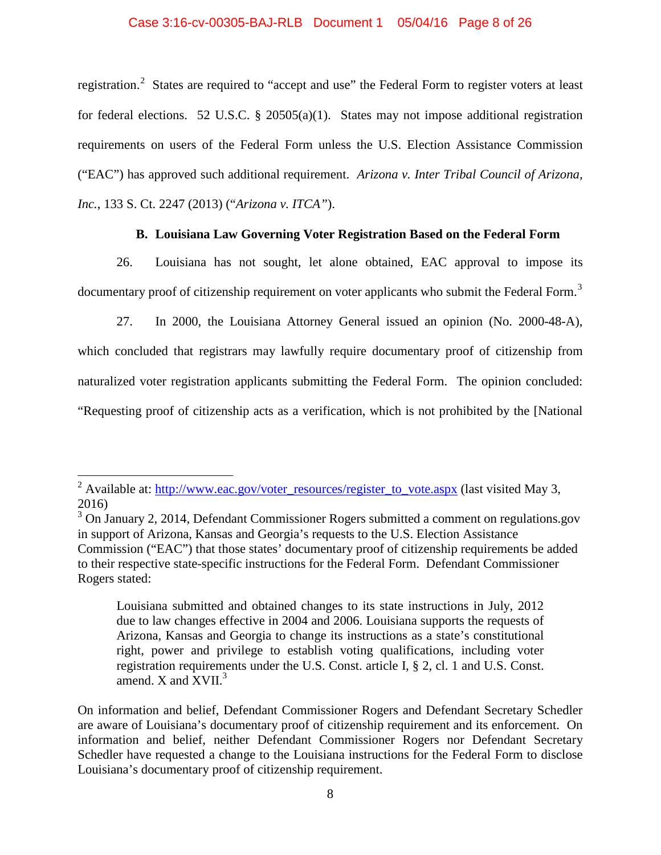## Case 3:16-cv-00305-BAJ-RLB Document 1 05/04/16 Page 8 of 26

registration.<sup>[2](#page-7-0)</sup> States are required to "accept and use" the Federal Form to register voters at least for federal elections. 52 U.S.C. § 20505(a)(1). States may not impose additional registration requirements on users of the Federal Form unless the U.S. Election Assistance Commission ("EAC") has approved such additional requirement. *Arizona v. Inter Tribal Council of Arizona, Inc.*, 133 S. Ct. 2247 (2013) ("*Arizona v. ITCA"*).

## **B. Louisiana Law Governing Voter Registration Based on the Federal Form**

26. Louisiana has not sought, let alone obtained, EAC approval to impose its documentary proof of citizenship requirement on voter applicants who submit the Federal Form.<sup>[3](#page-7-1)</sup>

27. In 2000, the Louisiana Attorney General issued an opinion (No. 2000-48-A), which concluded that registrars may lawfully require documentary proof of citizenship from naturalized voter registration applicants submitting the Federal Form. The opinion concluded: "Requesting proof of citizenship acts as a verification, which is not prohibited by the [National

Louisiana submitted and obtained changes to its state instructions in July, 2012 due to law changes effective in 2004 and 2006. Louisiana supports the requests of Arizona, Kansas and Georgia to change its instructions as a state's constitutional right, power and privilege to establish voting qualifications, including voter registration requirements under the U.S. Const. article I, § 2, cl. 1 and U.S. Const. amend.  $X$  and  $XVII.<sup>3</sup>$ 

On information and belief, Defendant Commissioner Rogers and Defendant Secretary Schedler are aware of Louisiana's documentary proof of citizenship requirement and its enforcement. On information and belief, neither Defendant Commissioner Rogers nor Defendant Secretary Schedler have requested a change to the Louisiana instructions for the Federal Form to disclose Louisiana's documentary proof of citizenship requirement.

<span id="page-7-0"></span><sup>&</sup>lt;sup>2</sup> Available at: [http://www.eac.gov/voter\\_resources/register\\_to\\_vote.aspx](http://www.eac.gov/voter_resources/register_to_vote.aspx) (last visited May 3, 2016)

<span id="page-7-1"></span><sup>&</sup>lt;sup>3</sup> On January 2, 2014, Defendant Commissioner Rogers submitted a comment on regulations.gov in support of Arizona, Kansas and Georgia's requests to the U.S. Election Assistance Commission ("EAC") that those states' documentary proof of citizenship requirements be added to their respective state-specific instructions for the Federal Form. Defendant Commissioner Rogers stated: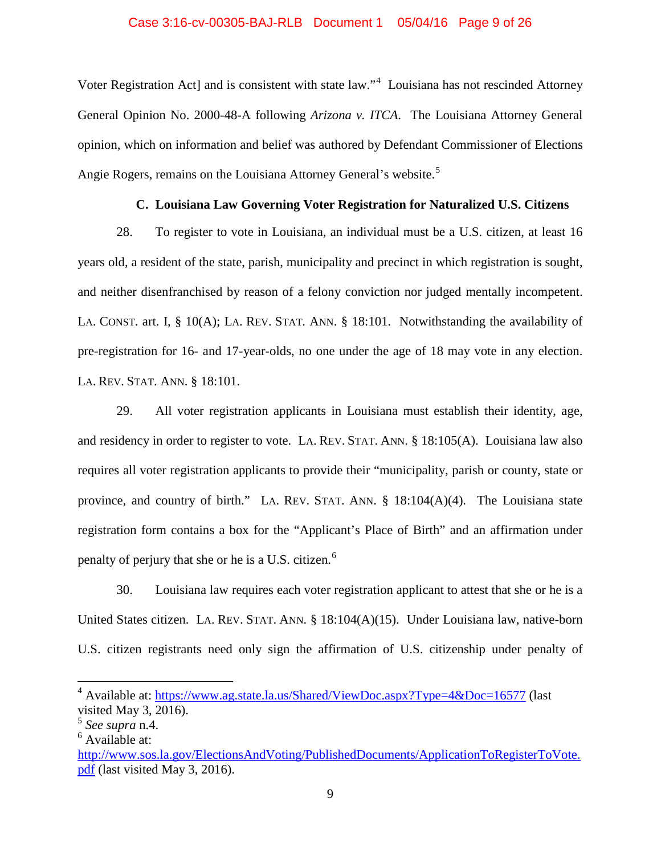### Case 3:16-cv-00305-BAJ-RLB Document 1 05/04/16 Page 9 of 26

Voter Registration Act] and is consistent with state law."<sup>[4](#page-8-0)</sup> Louisiana has not rescinded Attorney General Opinion No. 2000-48-A following *Arizona v. ITCA*. The Louisiana Attorney General opinion, which on information and belief was authored by Defendant Commissioner of Elections Angie Rogers, remains on the Louisiana Attorney General's website.<sup>[5](#page-8-1)</sup>

## **C. Louisiana Law Governing Voter Registration for Naturalized U.S. Citizens**

28. To register to vote in Louisiana, an individual must be a U.S. citizen, at least 16 years old, a resident of the state, parish, municipality and precinct in which registration is sought, and neither disenfranchised by reason of a felony conviction nor judged mentally incompetent. LA. CONST. art. I, § 10(A); LA. REV. STAT. ANN. § 18:101. Notwithstanding the availability of pre-registration for 16- and 17-year-olds, no one under the age of 18 may vote in any election. LA. REV. STAT. ANN. § 18:101.

29. All voter registration applicants in Louisiana must establish their identity, age, and residency in order to register to vote. LA. REV. STAT. ANN. § 18:105(A). Louisiana law also requires all voter registration applicants to provide their "municipality, parish or county, state or province, and country of birth." LA. REV. STAT. ANN. § 18:104(A)(4). The Louisiana state registration form contains a box for the "Applicant's Place of Birth" and an affirmation under penalty of perjury that she or he is a U.S. citizen.<sup>[6](#page-8-2)</sup>

30. Louisiana law requires each voter registration applicant to attest that she or he is a United States citizen. LA. REV. STAT. ANN. § 18:104(A)(15). Under Louisiana law, native-born U.S. citizen registrants need only sign the affirmation of U.S. citizenship under penalty of

<span id="page-8-0"></span><sup>&</sup>lt;sup>4</sup> Available at:<https://www.ag.state.la.us/Shared/ViewDoc.aspx?Type=4&Doc=16577> (last visited May 3, 2016).

<span id="page-8-1"></span><sup>5</sup> *See supra* n.4.

<span id="page-8-2"></span> $<sup>6</sup>$  Available at:</sup>

[http://www.sos.la.gov/ElectionsAndVoting/PublishedDocuments/ApplicationToRegisterToVote.](http://www.sos.la.gov/ElectionsAndVoting/PublishedDocuments/ApplicationToRegisterToVote.pdf) [pdf](http://www.sos.la.gov/ElectionsAndVoting/PublishedDocuments/ApplicationToRegisterToVote.pdf) (last visited May 3, 2016).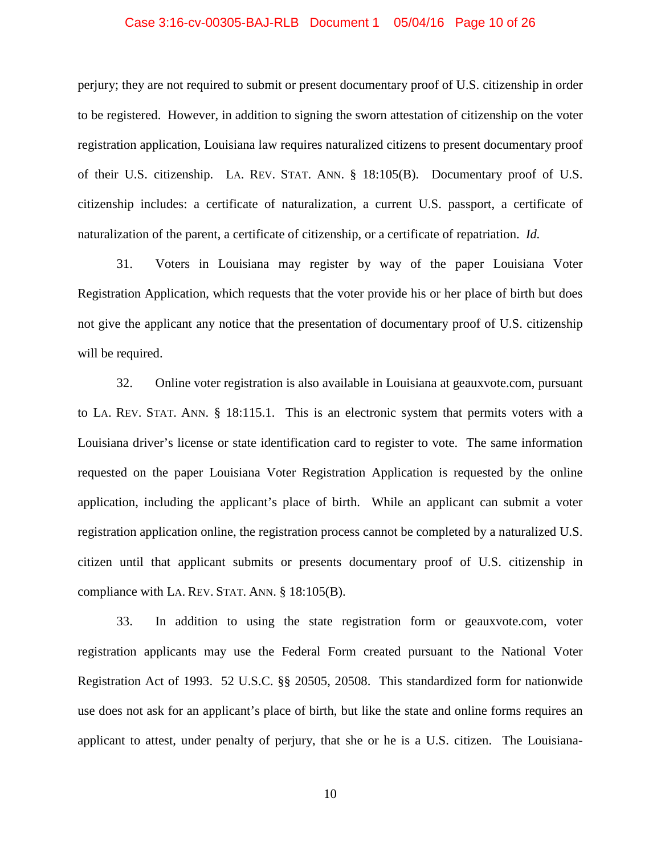#### Case 3:16-cv-00305-BAJ-RLB Document 1 05/04/16 Page 10 of 26

perjury; they are not required to submit or present documentary proof of U.S. citizenship in order to be registered. However, in addition to signing the sworn attestation of citizenship on the voter registration application, Louisiana law requires naturalized citizens to present documentary proof of their U.S. citizenship. LA. REV. STAT. ANN. § 18:105(B). Documentary proof of U.S. citizenship includes: a certificate of naturalization, a current U.S. passport, a certificate of naturalization of the parent, a certificate of citizenship, or a certificate of repatriation. *Id.*

31. Voters in Louisiana may register by way of the paper Louisiana Voter Registration Application, which requests that the voter provide his or her place of birth but does not give the applicant any notice that the presentation of documentary proof of U.S. citizenship will be required.

32. Online voter registration is also available in Louisiana at geauxvote.com, pursuant to LA. REV. STAT. ANN. § 18:115.1. This is an electronic system that permits voters with a Louisiana driver's license or state identification card to register to vote. The same information requested on the paper Louisiana Voter Registration Application is requested by the online application, including the applicant's place of birth. While an applicant can submit a voter registration application online, the registration process cannot be completed by a naturalized U.S. citizen until that applicant submits or presents documentary proof of U.S. citizenship in compliance with LA. REV. STAT. ANN. § 18:105(B).

33. In addition to using the state registration form or geauxvote.com, voter registration applicants may use the Federal Form created pursuant to the National Voter Registration Act of 1993. 52 U.S.C. §§ 20505, 20508. This standardized form for nationwide use does not ask for an applicant's place of birth, but like the state and online forms requires an applicant to attest, under penalty of perjury, that she or he is a U.S. citizen. The Louisiana-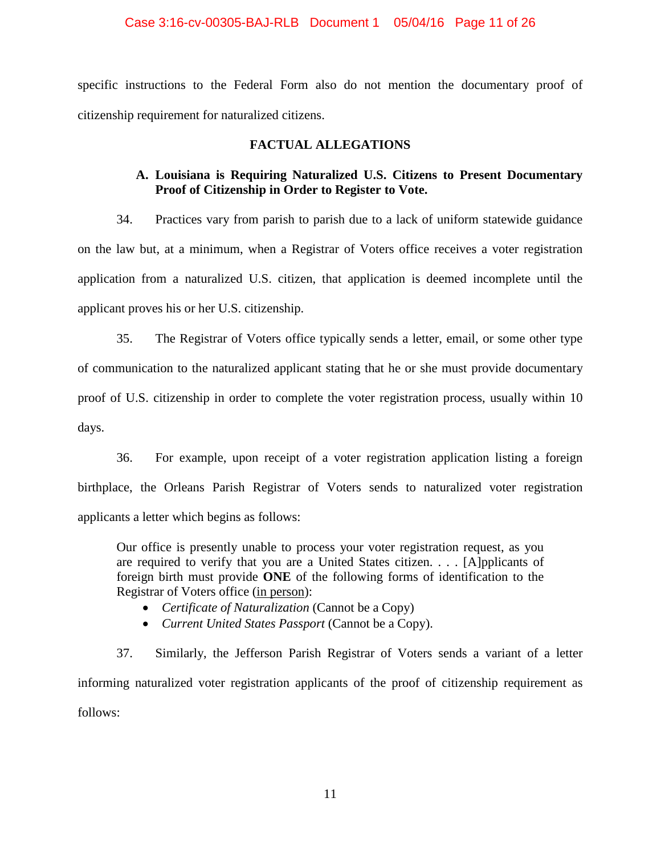## Case 3:16-cv-00305-BAJ-RLB Document 1 05/04/16 Page 11 of 26

specific instructions to the Federal Form also do not mention the documentary proof of citizenship requirement for naturalized citizens.

## **FACTUAL ALLEGATIONS**

# **A. Louisiana is Requiring Naturalized U.S. Citizens to Present Documentary Proof of Citizenship in Order to Register to Vote.**

34. Practices vary from parish to parish due to a lack of uniform statewide guidance on the law but, at a minimum, when a Registrar of Voters office receives a voter registration application from a naturalized U.S. citizen, that application is deemed incomplete until the applicant proves his or her U.S. citizenship.

35. The Registrar of Voters office typically sends a letter, email, or some other type of communication to the naturalized applicant stating that he or she must provide documentary proof of U.S. citizenship in order to complete the voter registration process, usually within 10 days.

36. For example, upon receipt of a voter registration application listing a foreign birthplace, the Orleans Parish Registrar of Voters sends to naturalized voter registration applicants a letter which begins as follows:

Our office is presently unable to process your voter registration request, as you are required to verify that you are a United States citizen. . . . [A]pplicants of foreign birth must provide **ONE** of the following forms of identification to the Registrar of Voters office (in person):

- *Certificate of Naturalization* (Cannot be a Copy)
- *Current United States Passport* (Cannot be a Copy).

37. Similarly, the Jefferson Parish Registrar of Voters sends a variant of a letter informing naturalized voter registration applicants of the proof of citizenship requirement as follows: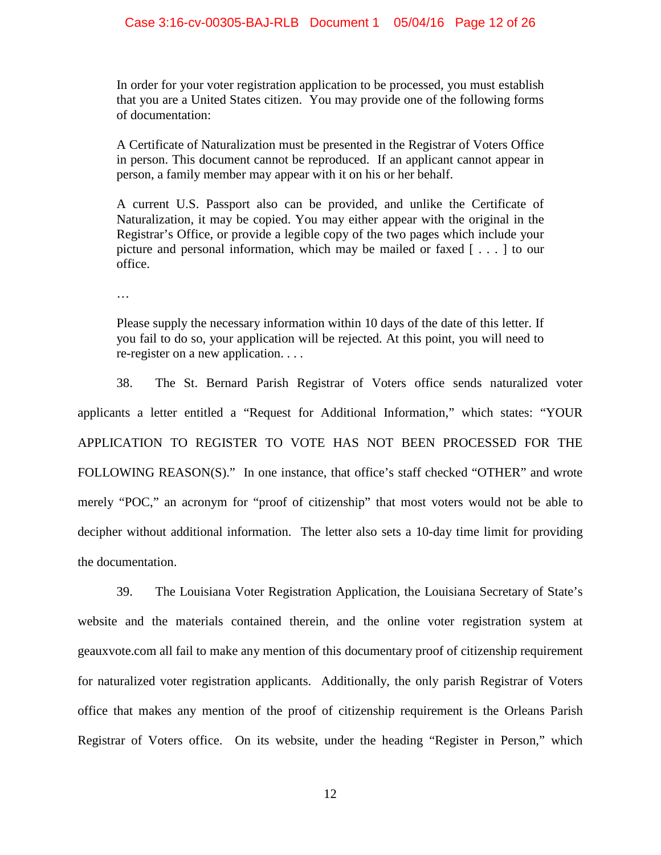In order for your voter registration application to be processed, you must establish that you are a United States citizen. You may provide one of the following forms of documentation:

A Certificate of Naturalization must be presented in the Registrar of Voters Office in person. This document cannot be reproduced. If an applicant cannot appear in person, a family member may appear with it on his or her behalf.

A current U.S. Passport also can be provided, and unlike the Certificate of Naturalization, it may be copied. You may either appear with the original in the Registrar's Office, or provide a legible copy of the two pages which include your picture and personal information, which may be mailed or faxed [ . . . ] to our office.

…

Please supply the necessary information within 10 days of the date of this letter. If you fail to do so, your application will be rejected. At this point, you will need to re-register on a new application. . . .

38. The St. Bernard Parish Registrar of Voters office sends naturalized voter applicants a letter entitled a "Request for Additional Information," which states: "YOUR APPLICATION TO REGISTER TO VOTE HAS NOT BEEN PROCESSED FOR THE FOLLOWING REASON(S)." In one instance, that office's staff checked "OTHER" and wrote merely "POC," an acronym for "proof of citizenship" that most voters would not be able to decipher without additional information. The letter also sets a 10-day time limit for providing the documentation.

39. The Louisiana Voter Registration Application, the Louisiana Secretary of State's website and the materials contained therein, and the online voter registration system at geauxvote.com all fail to make any mention of this documentary proof of citizenship requirement for naturalized voter registration applicants. Additionally, the only parish Registrar of Voters office that makes any mention of the proof of citizenship requirement is the Orleans Parish Registrar of Voters office. On its website, under the heading "Register in Person," which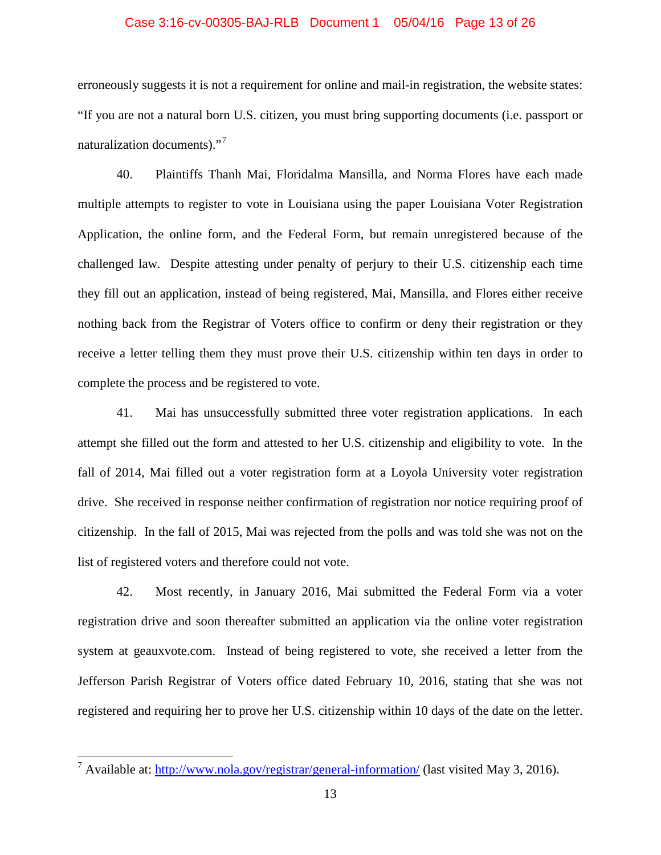#### Case 3:16-cv-00305-BAJ-RLB Document 1 05/04/16 Page 13 of 26

erroneously suggests it is not a requirement for online and mail-in registration, the website states: "If you are not a natural born U.S. citizen, you must bring supporting documents (i.e. passport or naturalization documents)."<sup>[7](#page-12-0)</sup>

40. Plaintiffs Thanh Mai, Floridalma Mansilla, and Norma Flores have each made multiple attempts to register to vote in Louisiana using the paper Louisiana Voter Registration Application, the online form, and the Federal Form, but remain unregistered because of the challenged law. Despite attesting under penalty of perjury to their U.S. citizenship each time they fill out an application, instead of being registered, Mai, Mansilla, and Flores either receive nothing back from the Registrar of Voters office to confirm or deny their registration or they receive a letter telling them they must prove their U.S. citizenship within ten days in order to complete the process and be registered to vote.

41. Mai has unsuccessfully submitted three voter registration applications. In each attempt she filled out the form and attested to her U.S. citizenship and eligibility to vote. In the fall of 2014, Mai filled out a voter registration form at a Loyola University voter registration drive. She received in response neither confirmation of registration nor notice requiring proof of citizenship. In the fall of 2015, Mai was rejected from the polls and was told she was not on the list of registered voters and therefore could not vote.

42. Most recently, in January 2016, Mai submitted the Federal Form via a voter registration drive and soon thereafter submitted an application via the online voter registration system at geauxvote.com. Instead of being registered to vote, she received a letter from the Jefferson Parish Registrar of Voters office dated February 10, 2016, stating that she was not registered and requiring her to prove her U.S. citizenship within 10 days of the date on the letter.

<span id="page-12-0"></span><sup>&</sup>lt;sup>7</sup> Available at:<http://www.nola.gov/registrar/general-information/> (last visited May 3, 2016).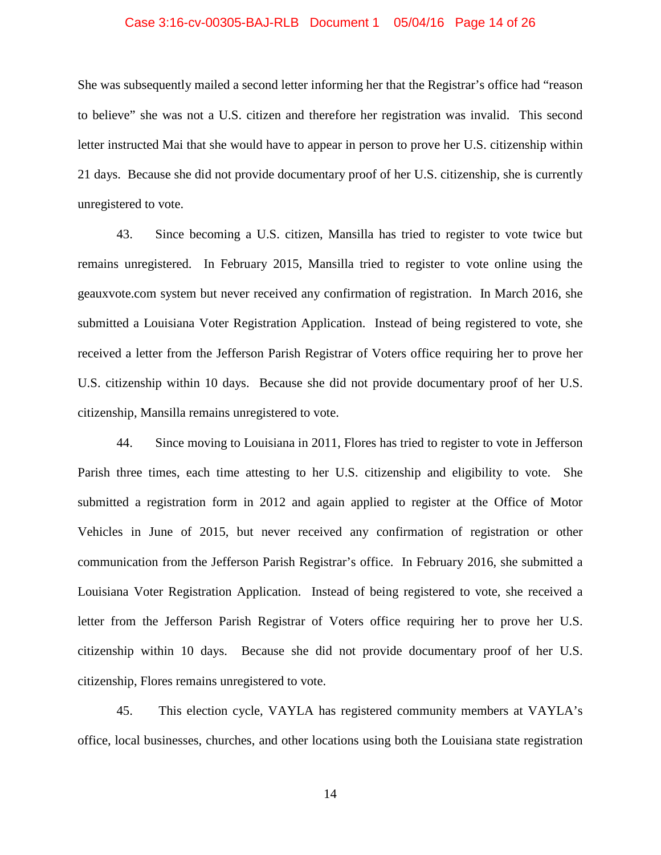#### Case 3:16-cv-00305-BAJ-RLB Document 1 05/04/16 Page 14 of 26

She was subsequently mailed a second letter informing her that the Registrar's office had "reason to believe" she was not a U.S. citizen and therefore her registration was invalid. This second letter instructed Mai that she would have to appear in person to prove her U.S. citizenship within 21 days. Because she did not provide documentary proof of her U.S. citizenship, she is currently unregistered to vote.

43. Since becoming a U.S. citizen, Mansilla has tried to register to vote twice but remains unregistered. In February 2015, Mansilla tried to register to vote online using the geauxvote.com system but never received any confirmation of registration. In March 2016, she submitted a Louisiana Voter Registration Application. Instead of being registered to vote, she received a letter from the Jefferson Parish Registrar of Voters office requiring her to prove her U.S. citizenship within 10 days. Because she did not provide documentary proof of her U.S. citizenship, Mansilla remains unregistered to vote.

44. Since moving to Louisiana in 2011, Flores has tried to register to vote in Jefferson Parish three times, each time attesting to her U.S. citizenship and eligibility to vote. She submitted a registration form in 2012 and again applied to register at the Office of Motor Vehicles in June of 2015, but never received any confirmation of registration or other communication from the Jefferson Parish Registrar's office. In February 2016, she submitted a Louisiana Voter Registration Application. Instead of being registered to vote, she received a letter from the Jefferson Parish Registrar of Voters office requiring her to prove her U.S. citizenship within 10 days. Because she did not provide documentary proof of her U.S. citizenship, Flores remains unregistered to vote.

45. This election cycle, VAYLA has registered community members at VAYLA's office, local businesses, churches, and other locations using both the Louisiana state registration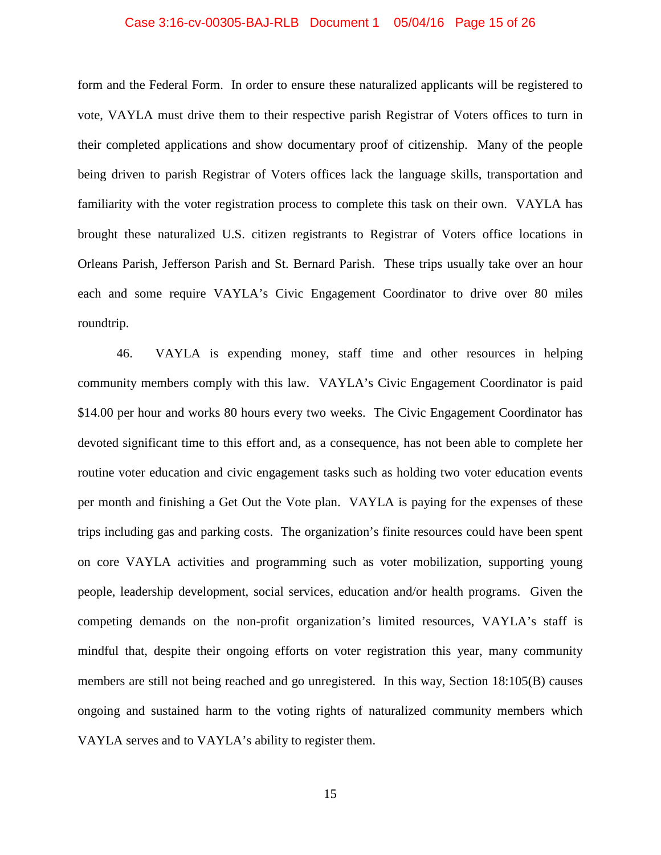#### Case 3:16-cv-00305-BAJ-RLB Document 1 05/04/16 Page 15 of 26

form and the Federal Form. In order to ensure these naturalized applicants will be registered to vote, VAYLA must drive them to their respective parish Registrar of Voters offices to turn in their completed applications and show documentary proof of citizenship. Many of the people being driven to parish Registrar of Voters offices lack the language skills, transportation and familiarity with the voter registration process to complete this task on their own. VAYLA has brought these naturalized U.S. citizen registrants to Registrar of Voters office locations in Orleans Parish, Jefferson Parish and St. Bernard Parish. These trips usually take over an hour each and some require VAYLA's Civic Engagement Coordinator to drive over 80 miles roundtrip.

46. VAYLA is expending money, staff time and other resources in helping community members comply with this law. VAYLA's Civic Engagement Coordinator is paid \$14.00 per hour and works 80 hours every two weeks. The Civic Engagement Coordinator has devoted significant time to this effort and, as a consequence, has not been able to complete her routine voter education and civic engagement tasks such as holding two voter education events per month and finishing a Get Out the Vote plan. VAYLA is paying for the expenses of these trips including gas and parking costs. The organization's finite resources could have been spent on core VAYLA activities and programming such as voter mobilization, supporting young people, leadership development, social services, education and/or health programs. Given the competing demands on the non-profit organization's limited resources, VAYLA's staff is mindful that, despite their ongoing efforts on voter registration this year, many community members are still not being reached and go unregistered. In this way, Section 18:105(B) causes ongoing and sustained harm to the voting rights of naturalized community members which VAYLA serves and to VAYLA's ability to register them.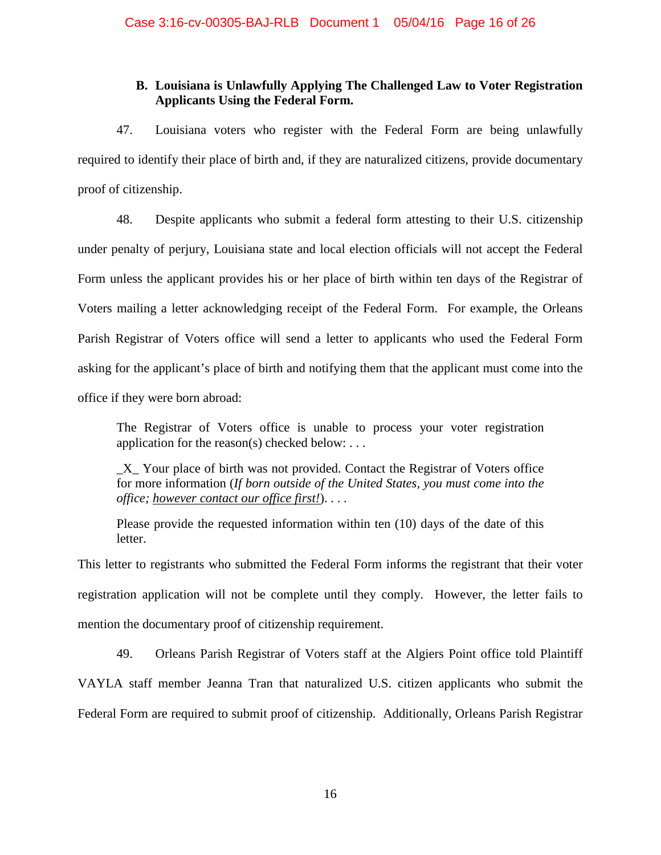# **B. Louisiana is Unlawfully Applying The Challenged Law to Voter Registration Applicants Using the Federal Form.**

47. Louisiana voters who register with the Federal Form are being unlawfully required to identify their place of birth and, if they are naturalized citizens, provide documentary proof of citizenship.

48. Despite applicants who submit a federal form attesting to their U.S. citizenship under penalty of perjury, Louisiana state and local election officials will not accept the Federal Form unless the applicant provides his or her place of birth within ten days of the Registrar of Voters mailing a letter acknowledging receipt of the Federal Form. For example, the Orleans Parish Registrar of Voters office will send a letter to applicants who used the Federal Form asking for the applicant's place of birth and notifying them that the applicant must come into the office if they were born abroad:

The Registrar of Voters office is unable to process your voter registration application for the reason(s) checked below:  $\dots$ 

\_X\_ Your place of birth was not provided. Contact the Registrar of Voters office for more information (*If born outside of the United States, you must come into the office; however contact our office first!*). . . .

Please provide the requested information within ten (10) days of the date of this letter.

This letter to registrants who submitted the Federal Form informs the registrant that their voter registration application will not be complete until they comply. However, the letter fails to mention the documentary proof of citizenship requirement.

49. Orleans Parish Registrar of Voters staff at the Algiers Point office told Plaintiff VAYLA staff member Jeanna Tran that naturalized U.S. citizen applicants who submit the Federal Form are required to submit proof of citizenship. Additionally, Orleans Parish Registrar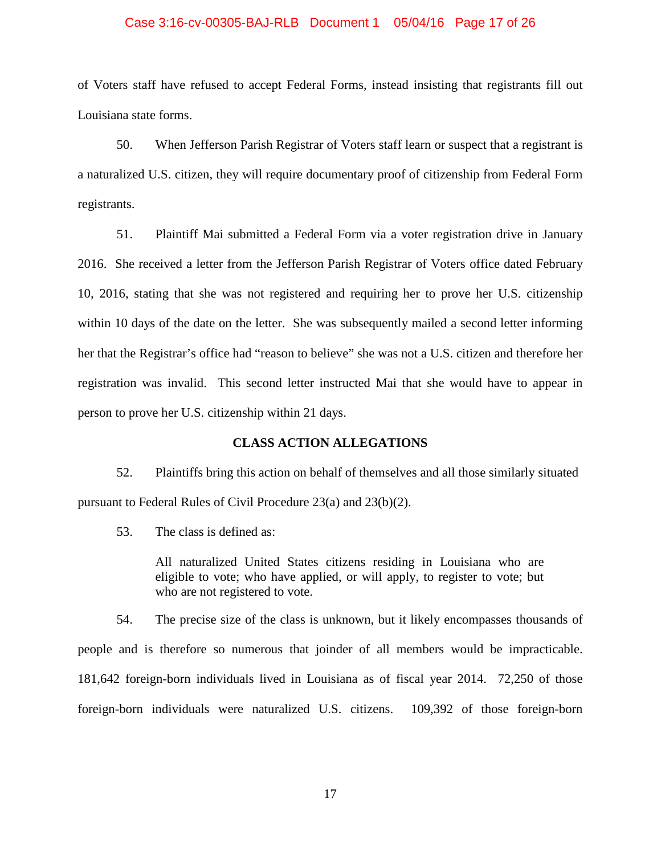#### Case 3:16-cv-00305-BAJ-RLB Document 1 05/04/16 Page 17 of 26

of Voters staff have refused to accept Federal Forms, instead insisting that registrants fill out Louisiana state forms.

50. When Jefferson Parish Registrar of Voters staff learn or suspect that a registrant is a naturalized U.S. citizen, they will require documentary proof of citizenship from Federal Form registrants.

51. Plaintiff Mai submitted a Federal Form via a voter registration drive in January 2016. She received a letter from the Jefferson Parish Registrar of Voters office dated February 10, 2016, stating that she was not registered and requiring her to prove her U.S. citizenship within 10 days of the date on the letter. She was subsequently mailed a second letter informing her that the Registrar's office had "reason to believe" she was not a U.S. citizen and therefore her registration was invalid. This second letter instructed Mai that she would have to appear in person to prove her U.S. citizenship within 21 days.

### **CLASS ACTION ALLEGATIONS**

52. Plaintiffs bring this action on behalf of themselves and all those similarly situated pursuant to Federal Rules of Civil Procedure 23(a) and 23(b)(2).

53. The class is defined as:

All naturalized United States citizens residing in Louisiana who are eligible to vote; who have applied, or will apply, to register to vote; but who are not registered to vote.

54. The precise size of the class is unknown, but it likely encompasses thousands of people and is therefore so numerous that joinder of all members would be impracticable. 181,642 foreign-born individuals lived in Louisiana as of fiscal year 2014. 72,250 of those foreign-born individuals were naturalized U.S. citizens. 109,392 of those foreign-born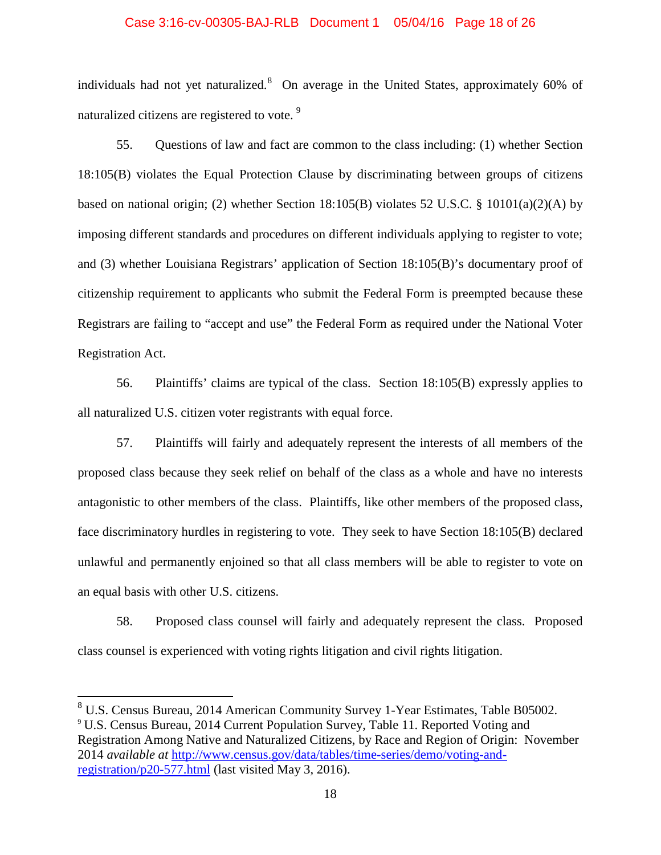#### Case 3:16-cv-00305-BAJ-RLB Document 1 05/04/16 Page 18 of 26

individuals had not yet naturalized.<sup>[8](#page-17-0)</sup> On average in the United States, approximately 60% of naturalized citizens are registered to vote. [9](#page-17-1)

55. Questions of law and fact are common to the class including: (1) whether Section 18:105(B) violates the Equal Protection Clause by discriminating between groups of citizens based on national origin; (2) whether Section 18:105(B) violates 52 U.S.C. § 10101(a)(2)(A) by imposing different standards and procedures on different individuals applying to register to vote; and (3) whether Louisiana Registrars' application of Section 18:105(B)'s documentary proof of citizenship requirement to applicants who submit the Federal Form is preempted because these Registrars are failing to "accept and use" the Federal Form as required under the National Voter Registration Act.

56. Plaintiffs' claims are typical of the class. Section 18:105(B) expressly applies to all naturalized U.S. citizen voter registrants with equal force.

57. Plaintiffs will fairly and adequately represent the interests of all members of the proposed class because they seek relief on behalf of the class as a whole and have no interests antagonistic to other members of the class. Plaintiffs, like other members of the proposed class, face discriminatory hurdles in registering to vote. They seek to have Section 18:105(B) declared unlawful and permanently enjoined so that all class members will be able to register to vote on an equal basis with other U.S. citizens.

58. Proposed class counsel will fairly and adequately represent the class. Proposed class counsel is experienced with voting rights litigation and civil rights litigation.

<span id="page-17-1"></span><span id="page-17-0"></span><sup>&</sup>lt;sup>8</sup> U.S. Census Bureau, 2014 American Community Survey 1-Year Estimates, Table B05002. <sup>9</sup> U.S. Census Bureau, 2014 Current Population Survey, Table 11. Reported Voting and Registration Among Native and Naturalized Citizens, by Race and Region of Origin: November 2014 *available at* [http://www.census.gov/data/tables/time-series/demo/voting-and](http://www.census.gov/data/tables/time-series/demo/voting-and-registration/p20-577.html)[registration/p20-577.html](http://www.census.gov/data/tables/time-series/demo/voting-and-registration/p20-577.html) (last visited May 3, 2016).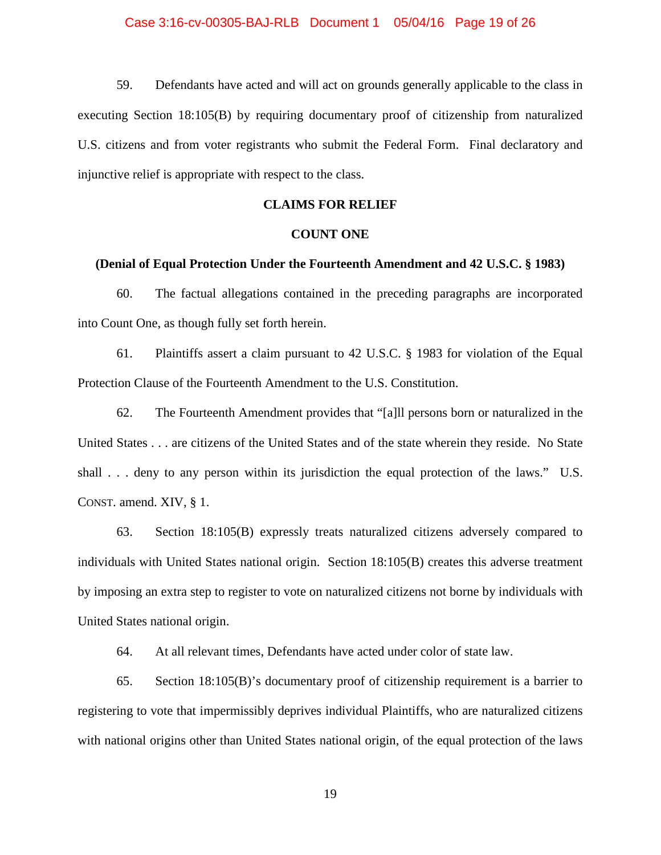59. Defendants have acted and will act on grounds generally applicable to the class in executing Section 18:105(B) by requiring documentary proof of citizenship from naturalized U.S. citizens and from voter registrants who submit the Federal Form. Final declaratory and injunctive relief is appropriate with respect to the class.

## **CLAIMS FOR RELIEF**

### **COUNT ONE**

## **(Denial of Equal Protection Under the Fourteenth Amendment and 42 U.S.C. § 1983)**

60. The factual allegations contained in the preceding paragraphs are incorporated into Count One, as though fully set forth herein.

61. Plaintiffs assert a claim pursuant to 42 U.S.C. § 1983 for violation of the Equal Protection Clause of the Fourteenth Amendment to the U.S. Constitution.

62. The Fourteenth Amendment provides that "[a]ll persons born or naturalized in the United States . . . are citizens of the United States and of the state wherein they reside. No State shall . . . deny to any person within its jurisdiction the equal protection of the laws." U.S. CONST. amend. XIV, § 1.

63. Section 18:105(B) expressly treats naturalized citizens adversely compared to individuals with United States national origin. Section 18:105(B) creates this adverse treatment by imposing an extra step to register to vote on naturalized citizens not borne by individuals with United States national origin.

64. At all relevant times, Defendants have acted under color of state law.

65. Section 18:105(B)'s documentary proof of citizenship requirement is a barrier to registering to vote that impermissibly deprives individual Plaintiffs, who are naturalized citizens with national origins other than United States national origin, of the equal protection of the laws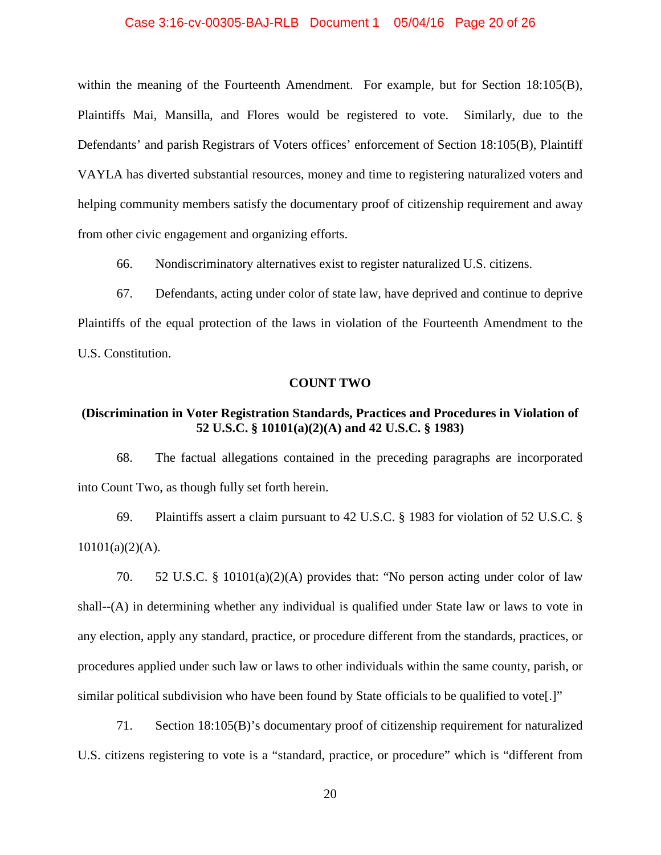## Case 3:16-cv-00305-BAJ-RLB Document 1 05/04/16 Page 20 of 26

within the meaning of the Fourteenth Amendment. For example, but for Section 18:105(B), Plaintiffs Mai, Mansilla, and Flores would be registered to vote. Similarly, due to the Defendants' and parish Registrars of Voters offices' enforcement of Section 18:105(B), Plaintiff VAYLA has diverted substantial resources, money and time to registering naturalized voters and helping community members satisfy the documentary proof of citizenship requirement and away from other civic engagement and organizing efforts.

66. Nondiscriminatory alternatives exist to register naturalized U.S. citizens.

67. Defendants, acting under color of state law, have deprived and continue to deprive Plaintiffs of the equal protection of the laws in violation of the Fourteenth Amendment to the U.S. Constitution.

### **COUNT TWO**

## **(Discrimination in Voter Registration Standards, Practices and Procedures in Violation of 52 U.S.C. § 10101(a)(2)(A) and 42 U.S.C. § 1983)**

68. The factual allegations contained in the preceding paragraphs are incorporated into Count Two, as though fully set forth herein.

69. Plaintiffs assert a claim pursuant to 42 U.S.C. § 1983 for violation of 52 U.S.C. §  $10101(a)(2)(A)$ .

70. 52 U.S.C. § 10101(a)(2)(A) provides that: "No person acting under color of law shall--(A) in determining whether any individual is qualified under State law or laws to vote in any election, apply any standard, practice, or procedure different from the standards, practices, or procedures applied under such law or laws to other individuals within the same county, parish, or similar political subdivision who have been found by State officials to be qualified to vote[.]"

71. Section 18:105(B)'s documentary proof of citizenship requirement for naturalized U.S. citizens registering to vote is a "standard, practice, or procedure" which is "different from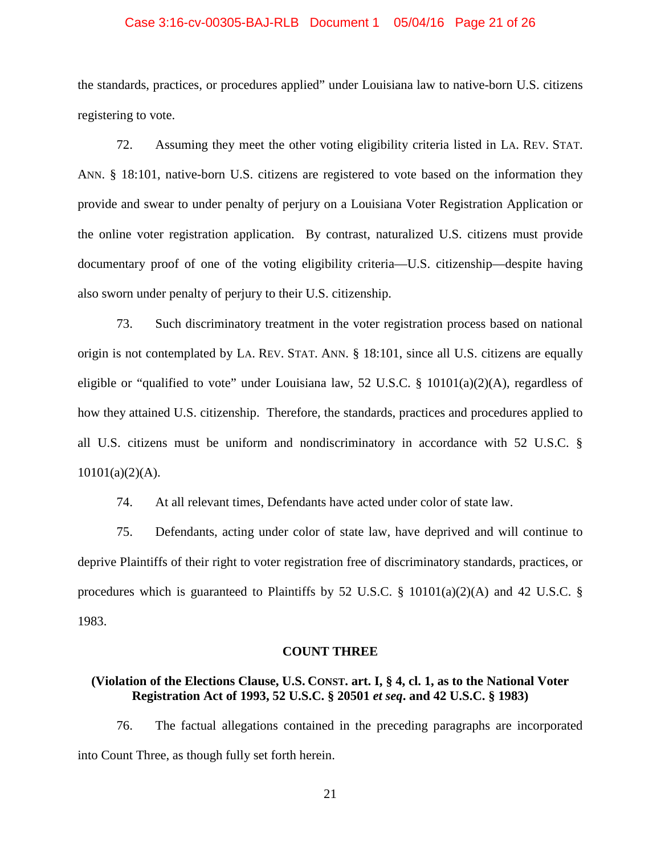#### Case 3:16-cv-00305-BAJ-RLB Document 1 05/04/16 Page 21 of 26

the standards, practices, or procedures applied" under Louisiana law to native-born U.S. citizens registering to vote.

72. Assuming they meet the other voting eligibility criteria listed in LA. REV. STAT. ANN. § 18:101, native-born U.S. citizens are registered to vote based on the information they provide and swear to under penalty of perjury on a Louisiana Voter Registration Application or the online voter registration application. By contrast, naturalized U.S. citizens must provide documentary proof of one of the voting eligibility criteria—U.S. citizenship—despite having also sworn under penalty of perjury to their U.S. citizenship.

73. Such discriminatory treatment in the voter registration process based on national origin is not contemplated by LA. REV. STAT. ANN. § 18:101, since all U.S. citizens are equally eligible or "qualified to vote" under Louisiana law, 52 U.S.C. §  $10101(a)(2)(A)$ , regardless of how they attained U.S. citizenship. Therefore, the standards, practices and procedures applied to all U.S. citizens must be uniform and nondiscriminatory in accordance with 52 U.S.C. §  $10101(a)(2)(A)$ .

74. At all relevant times, Defendants have acted under color of state law.

75. Defendants, acting under color of state law, have deprived and will continue to deprive Plaintiffs of their right to voter registration free of discriminatory standards, practices, or procedures which is guaranteed to Plaintiffs by 52 U.S.C. § 10101(a)(2)(A) and 42 U.S.C. § 1983.

## **COUNT THREE**

## **(Violation of the Elections Clause, U.S. CONST. art. I, § 4, cl. 1, as to the National Voter Registration Act of 1993, 52 U.S.C. § 20501** *et seq***. and 42 U.S.C. § 1983)**

76. The factual allegations contained in the preceding paragraphs are incorporated into Count Three, as though fully set forth herein.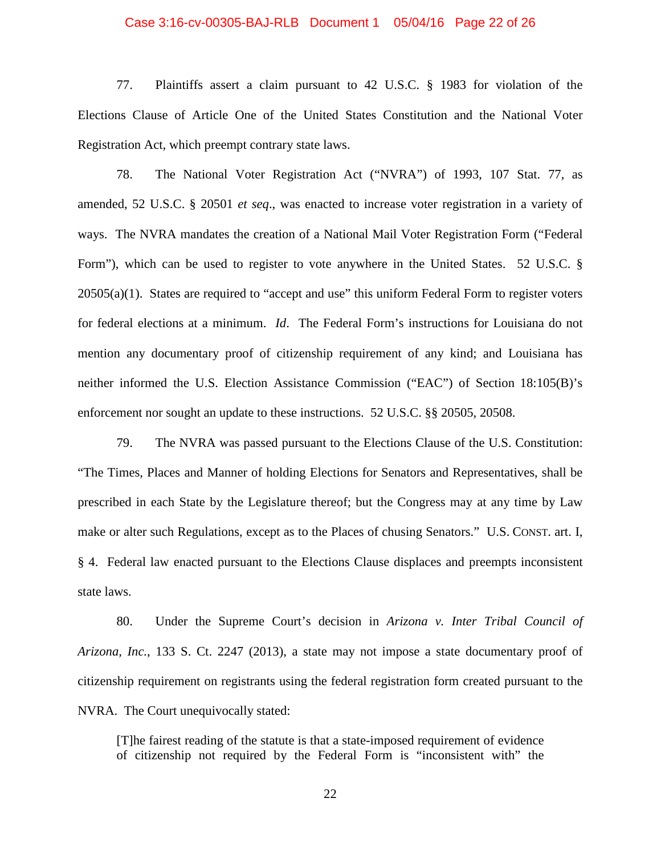#### Case 3:16-cv-00305-BAJ-RLB Document 1 05/04/16 Page 22 of 26

77. Plaintiffs assert a claim pursuant to 42 U.S.C. § 1983 for violation of the Elections Clause of Article One of the United States Constitution and the National Voter Registration Act, which preempt contrary state laws.

78. The National Voter Registration Act ("NVRA") of 1993, 107 Stat. 77, as amended, 52 U.S.C. § 20501 *et seq*., was enacted to increase voter registration in a variety of ways. The NVRA mandates the creation of a National Mail Voter Registration Form ("Federal Form"), which can be used to register to vote anywhere in the United States. 52 U.S.C. §  $20505(a)(1)$ . States are required to "accept and use" this uniform Federal Form to register voters for federal elections at a minimum. *Id*. The Federal Form's instructions for Louisiana do not mention any documentary proof of citizenship requirement of any kind; and Louisiana has neither informed the U.S. Election Assistance Commission ("EAC") of Section 18:105(B)'s enforcement nor sought an update to these instructions. 52 U.S.C. §§ 20505, 20508.

79. The NVRA was passed pursuant to the Elections Clause of the U.S. Constitution: "The Times, Places and Manner of holding Elections for Senators and Representatives, shall be prescribed in each State by the Legislature thereof; but the Congress may at any time by Law make or alter such Regulations, except as to the Places of chusing Senators." U.S. CONST. art. I, § 4. Federal law enacted pursuant to the Elections Clause displaces and preempts inconsistent state laws.

80. Under the Supreme Court's decision in *Arizona v. Inter Tribal Council of Arizona, Inc.*, 133 S. Ct. 2247 (2013), a state may not impose a state documentary proof of citizenship requirement on registrants using the federal registration form created pursuant to the NVRA. The Court unequivocally stated:

[T]he fairest reading of the statute is that a state-imposed requirement of evidence of citizenship not required by the Federal Form is "inconsistent with" the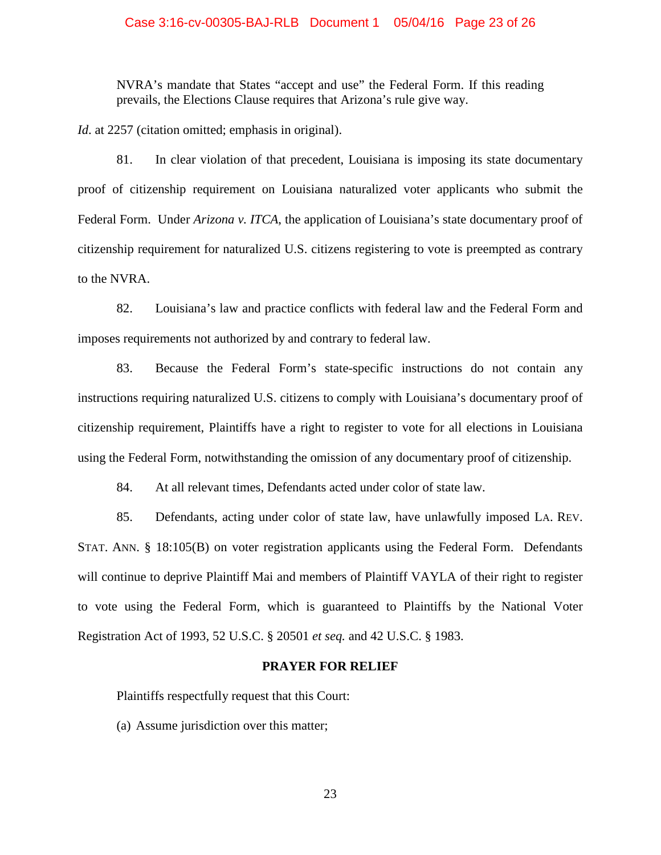### Case 3:16-cv-00305-BAJ-RLB Document 1 05/04/16 Page 23 of 26

NVRA's mandate that States "accept and use" the Federal Form. If this reading prevails, the Elections Clause requires that Arizona's rule give way.

*Id.* at 2257 (citation omitted; emphasis in original).

81. In clear violation of that precedent, Louisiana is imposing its state documentary proof of citizenship requirement on Louisiana naturalized voter applicants who submit the Federal Form. Under *Arizona v. ITCA*, the application of Louisiana's state documentary proof of citizenship requirement for naturalized U.S. citizens registering to vote is preempted as contrary to the NVRA.

82. Louisiana's law and practice conflicts with federal law and the Federal Form and imposes requirements not authorized by and contrary to federal law.

83. Because the Federal Form's state-specific instructions do not contain any instructions requiring naturalized U.S. citizens to comply with Louisiana's documentary proof of citizenship requirement, Plaintiffs have a right to register to vote for all elections in Louisiana using the Federal Form, notwithstanding the omission of any documentary proof of citizenship.

84. At all relevant times, Defendants acted under color of state law.

85. Defendants, acting under color of state law, have unlawfully imposed LA. REV. STAT. ANN. § 18:105(B) on voter registration applicants using the Federal Form. Defendants will continue to deprive Plaintiff Mai and members of Plaintiff VAYLA of their right to register to vote using the Federal Form, which is guaranteed to Plaintiffs by the National Voter Registration Act of 1993, 52 U.S.C. § 20501 *et seq.* and 42 U.S.C. § 1983.

### **PRAYER FOR RELIEF**

Plaintiffs respectfully request that this Court:

(a) Assume jurisdiction over this matter;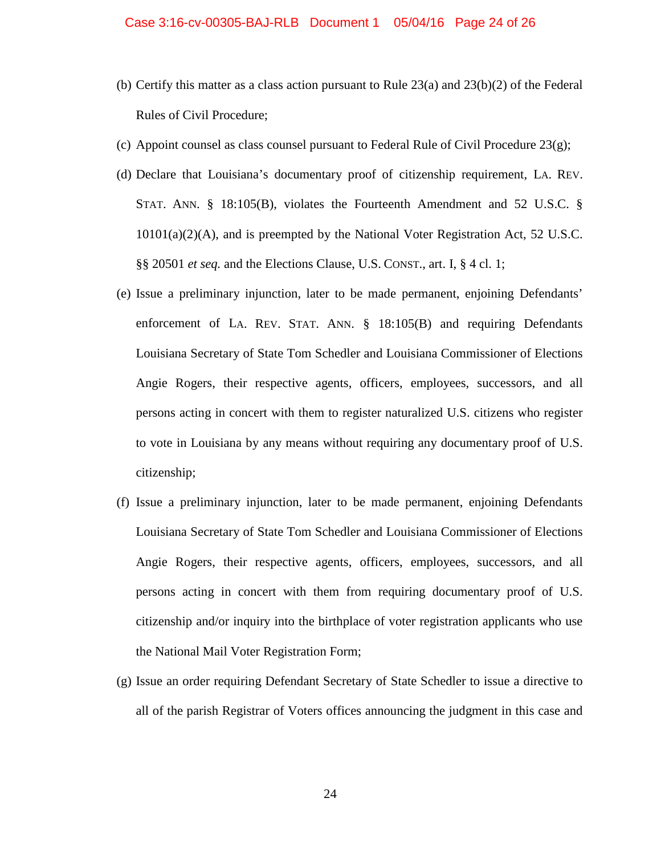- (b) Certify this matter as a class action pursuant to Rule  $23(a)$  and  $23(b)(2)$  of the Federal Rules of Civil Procedure;
- (c) Appoint counsel as class counsel pursuant to Federal Rule of Civil Procedure  $23(g)$ ;
- (d) Declare that Louisiana's documentary proof of citizenship requirement, LA. REV. STAT. ANN. § 18:105(B), violates the Fourteenth Amendment and 52 U.S.C. § 10101(a)(2)(A), and is preempted by the National Voter Registration Act, 52 U.S.C. §§ 20501 *et seq.* and the Elections Clause, U.S. CONST., art. I, § 4 cl. 1;
- (e) Issue a preliminary injunction, later to be made permanent, enjoining Defendants' enforcement of LA. REV. STAT. ANN. § 18:105(B) and requiring Defendants Louisiana Secretary of State Tom Schedler and Louisiana Commissioner of Elections Angie Rogers, their respective agents, officers, employees, successors, and all persons acting in concert with them to register naturalized U.S. citizens who register to vote in Louisiana by any means without requiring any documentary proof of U.S. citizenship;
- (f) Issue a preliminary injunction, later to be made permanent, enjoining Defendants Louisiana Secretary of State Tom Schedler and Louisiana Commissioner of Elections Angie Rogers, their respective agents, officers, employees, successors, and all persons acting in concert with them from requiring documentary proof of U.S. citizenship and/or inquiry into the birthplace of voter registration applicants who use the National Mail Voter Registration Form;
- (g) Issue an order requiring Defendant Secretary of State Schedler to issue a directive to all of the parish Registrar of Voters offices announcing the judgment in this case and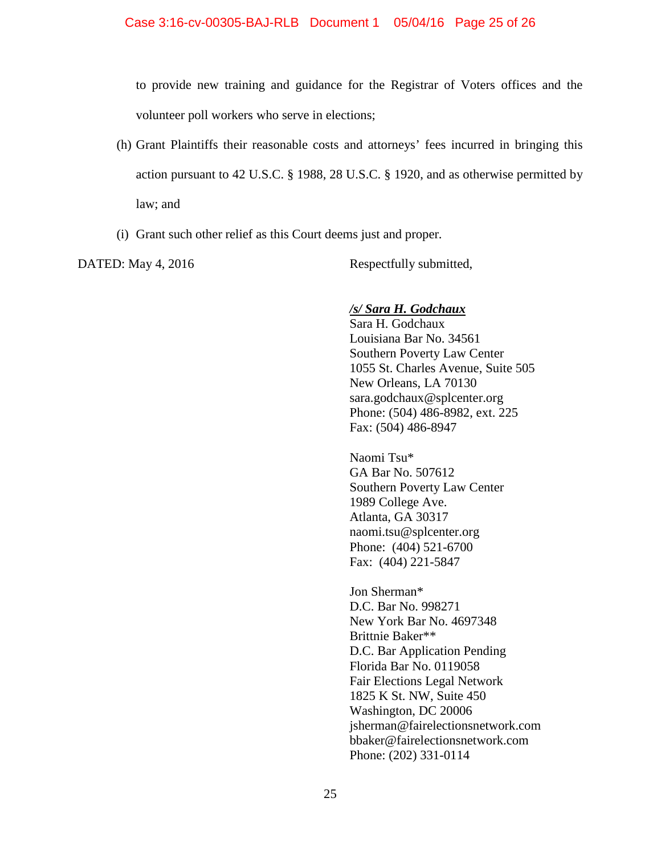to provide new training and guidance for the Registrar of Voters offices and the volunteer poll workers who serve in elections;

- (h) Grant Plaintiffs their reasonable costs and attorneys' fees incurred in bringing this action pursuant to 42 U.S.C. § 1988, 28 U.S.C. § 1920, and as otherwise permitted by law; and
- (i) Grant such other relief as this Court deems just and proper.

DATED: May 4, 2016 Respectfully submitted,

## */s/ Sara H. Godchaux*

Sara H. Godchaux Louisiana Bar No. 34561 Southern Poverty Law Center 1055 St. Charles Avenue, Suite 505 New Orleans, LA 70130 sara.godchaux@splcenter.org Phone: (504) 486-8982, ext. 225 Fax: (504) 486-8947

Naomi Tsu\* GA Bar No. 507612 Southern Poverty Law Center 1989 College Ave. Atlanta, GA 30317 naomi.tsu@splcenter.org Phone: (404) 521-6700 Fax: (404) 221-5847

Jon Sherman\* D.C. Bar No. 998271 New York Bar No. 4697348 Brittnie Baker\*\* D.C. Bar Application Pending Florida Bar No. 0119058 Fair Elections Legal Network 1825 K St. NW, Suite 450 Washington, DC 20006 jsherman@fairelectionsnetwork.com bbaker@fairelectionsnetwork.com Phone: (202) 331-0114